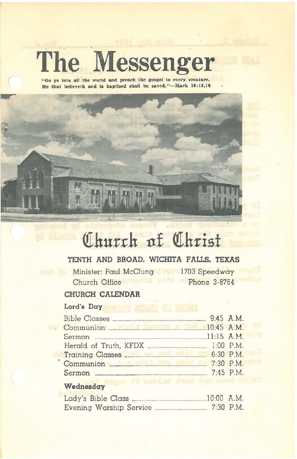# The Messenger

"Go ye into all the world and preach the gospel to every creature. He that believeth and is baptized shall be saved."-Mark 16:15,16



# Church of Christ

# TENTH AND BROAD, WICHITA FALLS, TEXAS

Minister: Paul McClung 1703 Speedway Church Office

Phone 3-8764

# CHURCH CALENDAR

## Lord's Day

OB

| Herald of Truth, KFDX [1:00 P.M.] |             |
|-----------------------------------|-------------|
|                                   |             |
|                                   |             |
|                                   | $7.45$ P.M. |

#### Wednesday

| $10:00$ A.M. |             |
|--------------|-------------|
|              | $7:30$ P.M. |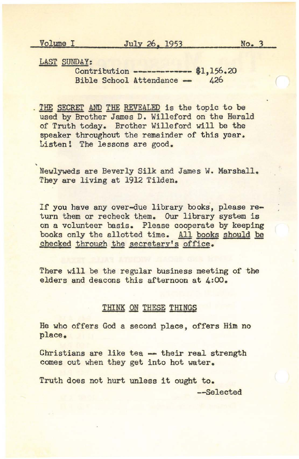Volume I July 26, 1953 No. 3

LAST SUNDAY:

---- Contribution **-------------** \$1,156.20 Bible School Attendance -

. THE SECRET AND THE REVEALED is the topic to be used by Brother James D. Willeford on the Herald of Truth today. Brother Willeford will be the speaker throughout the remainder of this year. Listen! The lessons are good.

Newlyweds are Beverly Silk and James W. Marshall. They are living at 1912 Tilden.

If you have any over-due library books, please return them or recheck them. Our library system is on a volunteer basis. Please cooperate by keeping books only the allotted time. All books should be checked through the secretary's office.

There will be the regular business meeting of the elders and deacons this afternoon at 4:00.

#### THINK ON THESE THINGS

He who offers God a second place, offers Him no place.

Christians are like tea - their real strength comes out when they get into hot water.

Truth does not hurt unless it ought to. --Selected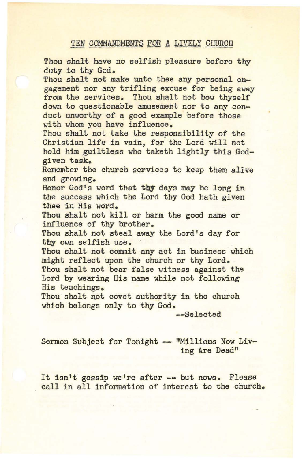# TEN COMMANDMENTS FOR A LIVELY CHURCH

Thou shalt have no selfish pleasure before thy duty to thy God. Thou shalt not make unto thee any personal engagement nor any trifling excuse for being away from the services. Thou shalt not bow thyself down to questionable amusement nor to any conduct unworthy of a good example before those with whom you have influence. Thou shalt not take the responsibility of the Christian life in vain, for the Lord will not hold him guiltless who taketh lightly this Godgiven task. Remember the church services to keep them alive and growing. Honor God's word that thy days may be long in the success which the Lord thy God hath given thee in His word. Thou shalt not kill or harm the good name or influence of thy brother. Thou shalt not steal away the Lord's day for thy own selfish use. Thou shalt not commit any act in business which might reflect upon the church or thy Lord. Thou shalt not bear false witness against the Lord by wearing His name while not following His teachings. Thou shalt not covet authority in the church which belongs only to thy God.

--Selected

Sermon Subject for Tonight -- "Millions Now Living Are Dead"

It isn't gossip we're after -- but news. Please call in all information of interest to the church.